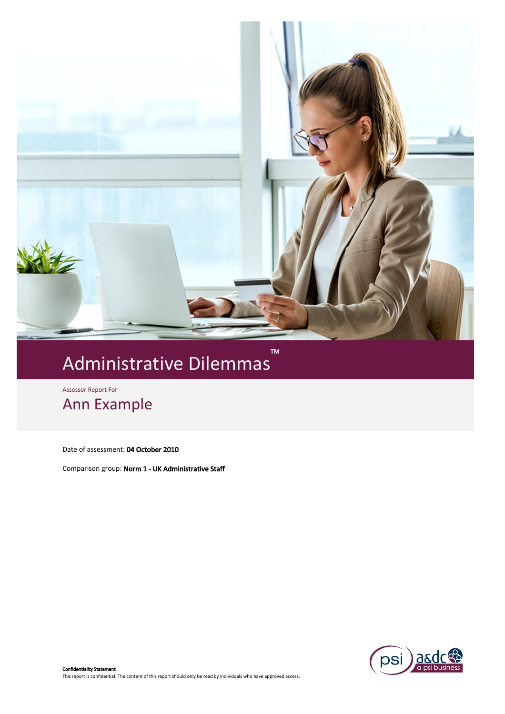

# M<br>Administrative Dilemmas

Assessor Report For

Ann Example

Date of assessment: 04 October 2010

Comparison group: Norm 1 - UK Administrative Staff

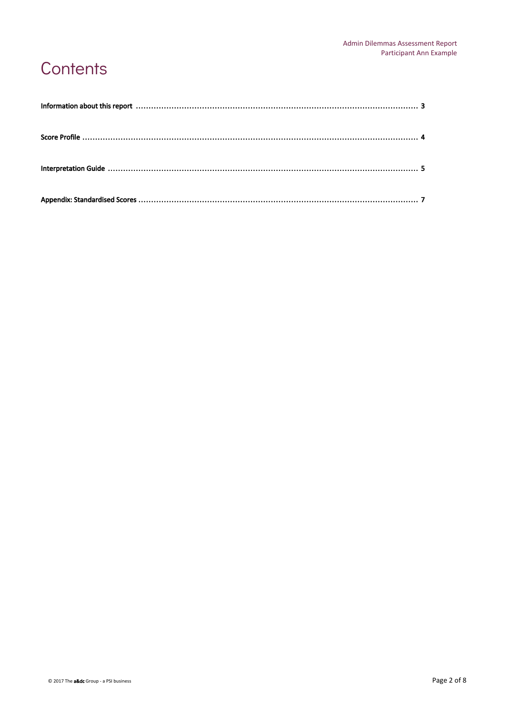### Contents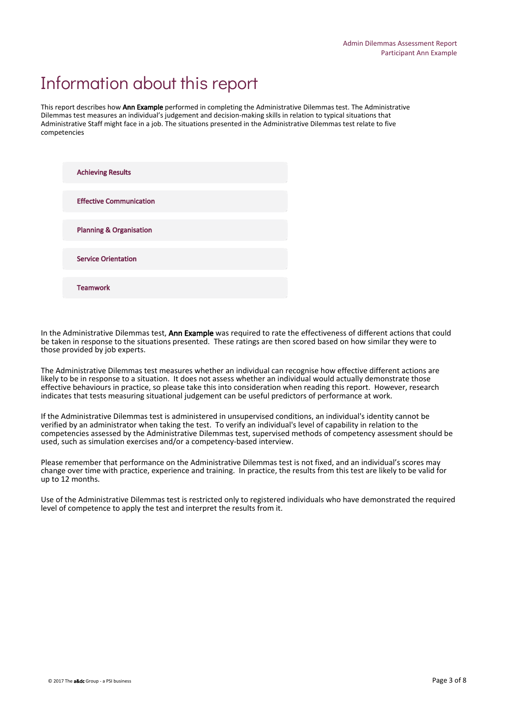# Information about this report

This report describes how Ann Example performed in completing the Administrative Dilemmas test. The Administrative Dilemmas test measures an individual's judgement and decision-making skills in relation to typical situations that Administrative Staff might face in a job. The situations presented in the Administrative Dilemmas test relate to five competencies

| <b>Achieving Results</b>           |  |
|------------------------------------|--|
| <b>Effective Communication</b>     |  |
| <b>Planning &amp; Organisation</b> |  |
| <b>Service Orientation</b>         |  |
| <b>Teamwork</b>                    |  |

In the Administrative Dilemmas test, Ann Example was required to rate the effectiveness of different actions that could be taken in response to the situations presented. These ratings are then scored based on how similar they were to those provided by job experts.

The Administrative Dilemmas test measures whether an individual can recognise how effective different actions are likely to be in response to a situation. It does not assess whether an individual would actually demonstrate those effective behaviours in practice, so please take this into consideration when reading this report. However, research indicates that tests measuring situational judgement can be useful predictors of performance at work.

If the Administrative Dilemmas test is administered in unsupervised conditions, an individual's identity cannot be verified by an administrator when taking the test. To verify an individual's level of capability in relation to the competencies assessed by the Administrative Dilemmas test, supervised methods of competency assessment should be used, such as simulation exercises and/or a competency-based interview.

Please remember that performance on the Administrative Dilemmas test is not fixed, and an individual's scores may change over time with practice, experience and training. In practice, the results from this test are likely to be valid for up to 12 months.

Use of the Administrative Dilemmas test is restricted only to registered individuals who have demonstrated the required level of competence to apply the test and interpret the results from it.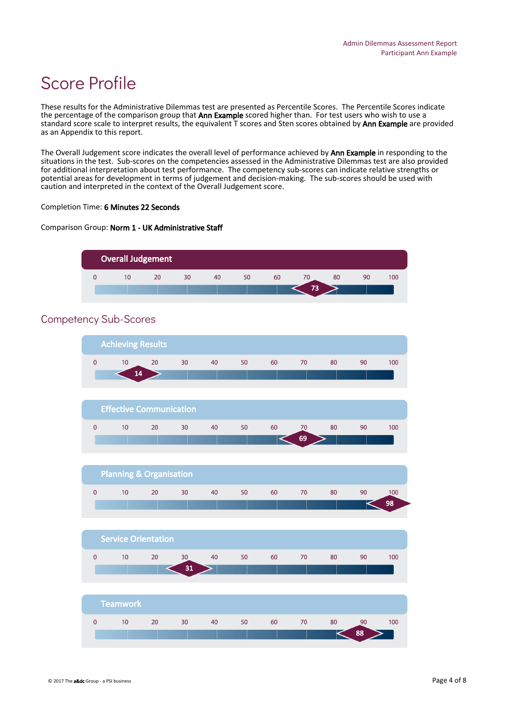# Score Profile

These results for the Administrative Dilemmas test are presented as Percentile Scores. The Percentile Scores indicate the percentage of the comparison group that Ann Example scored higher than. For test users who wish to use a standard score scale to interpret results, the equivalent T scores and Sten scores obtained by Ann Example are provided as an Appendix to this report.

The Overall Judgement score indicates the overall level of performance achieved by Ann Example in responding to the situations in the test. Sub-scores on the competencies assessed in the Administrative Dilemmas test are also provided for additional interpretation about test performance. The competency sub-scores can indicate relative strengths or potential areas for development in terms of judgement and decision-making. The sub-scores should be used with caution and interpreted in the context of the Overall Judgement score.

#### Completion Time: 6 Minutes 22 Seconds

#### Comparison Group: Norm 1 - UK Administrative Staff



### Competency Sub-Scores

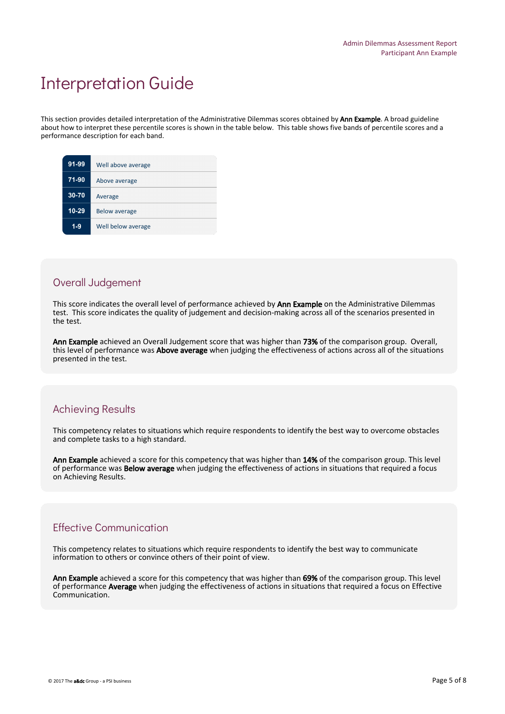### Interpretation Guide

This section provides detailed interpretation of the Administrative Dilemmas scores obtained by **Ann Example**. A broad guideline about how to interpret these percentile scores is shown in the table below. This table shows five bands of percentile scores and a performance description for each band.

| 91-99   | Well above average   |
|---------|----------------------|
| $71-90$ | Above average        |
| 30-70   | Average              |
| 10-29   | <b>Below average</b> |
| $1 - 9$ | Well below average   |
|         |                      |

#### Overall Judgement

This score indicates the overall level of performance achieved by Ann Example on the Administrative Dilemmas test. This score indicates the quality of judgement and decision-making across all of the scenarios presented in the test.

Ann Example achieved an Overall Judgement score that was higher than 73% of the comparison group. Overall, this level of performance was Above average when judging the effectiveness of actions across all of the situations presented in the test.

### Achieving Results

This competency relates to situations which require respondents to identify the best way to overcome obstacles and complete tasks to a high standard.

Ann Example achieved a score for this competency that was higher than 14% of the comparison group. This level of performance was Below average when judging the effectiveness of actions in situations that required a focus on Achieving Results.

#### Effective Communication

This competency relates to situations which require respondents to identify the best way to communicate information to others or convince others of their point of view.

Ann Example achieved a score for this competency that was higher than 69% of the comparison group. This level of performance Average when judging the effectiveness of actions in situations that required a focus on Effective Communication.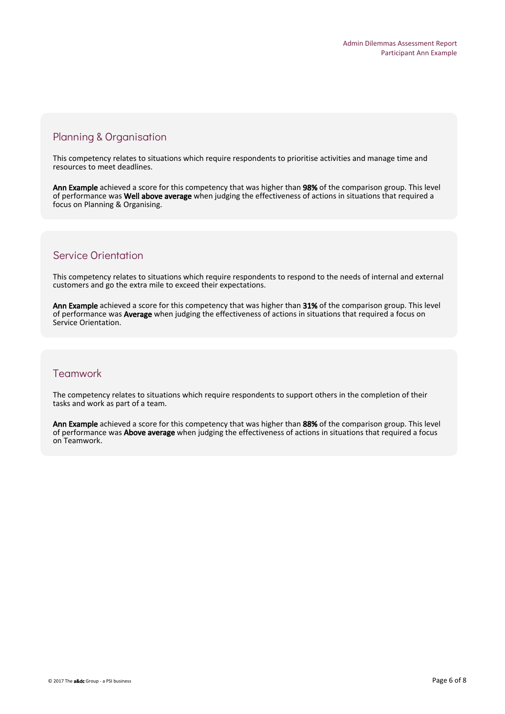### Planning & Organisation

This competency relates to situations which require respondents to prioritise activities and manage time and resources to meet deadlines.

Ann Example achieved a score for this competency that was higher than 98% of the comparison group. This level of performance was Well above average when judging the effectiveness of actions in situations that required a focus on Planning & Organising.

### Service Orientation

This competency relates to situations which require respondents to respond to the needs of internal and external customers and go the extra mile to exceed their expectations.

Ann Example achieved a score for this competency that was higher than 31% of the comparison group. This level of performance was Average when judging the effectiveness of actions in situations that required a focus on Service Orientation.

### **Teamwork**

The competency relates to situations which require respondents to support others in the completion of their tasks and work as part of a team.

Ann Example achieved a score for this competency that was higher than 88% of the comparison group. This level of performance was Above average when judging the effectiveness of actions in situations that required a focus on Teamwork.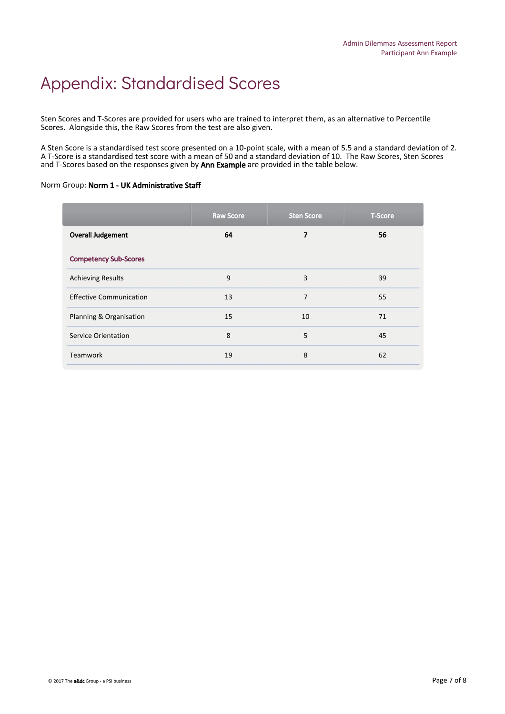# Appendix: Standardised Scores

Sten Scores and T-Scores are provided for users who are trained to interpret them, as an alternative to Percentile Scores. Alongside this, the Raw Scores from the test are also given.

A Sten Score is a standardised test score presented on a 10-point scale, with a mean of 5.5 and a standard deviation of 2. A T-Score is a standardised test score with a mean of 50 and a standard deviation of 10. The Raw Scores, Sten Scores and T-Scores based on the responses given by Ann Example are provided in the table below.

#### Norm Group: Norm 1 - UK Administrative Staff

|                                | <b>Raw Score</b> | <b>Sten Score</b> | <b>T-Score</b> |
|--------------------------------|------------------|-------------------|----------------|
| <b>Overall Judgement</b>       | 64               | 7                 | 56             |
| <b>Competency Sub-Scores</b>   |                  |                   |                |
| <b>Achieving Results</b>       | 9                | 3                 | 39             |
| <b>Effective Communication</b> | 13               | 7                 | 55             |
| Planning & Organisation        | 15               | 10                | 71             |
| <b>Service Orientation</b>     | 8                | 5                 | 45             |
| <b>Teamwork</b>                | 19               | 8                 | 62             |